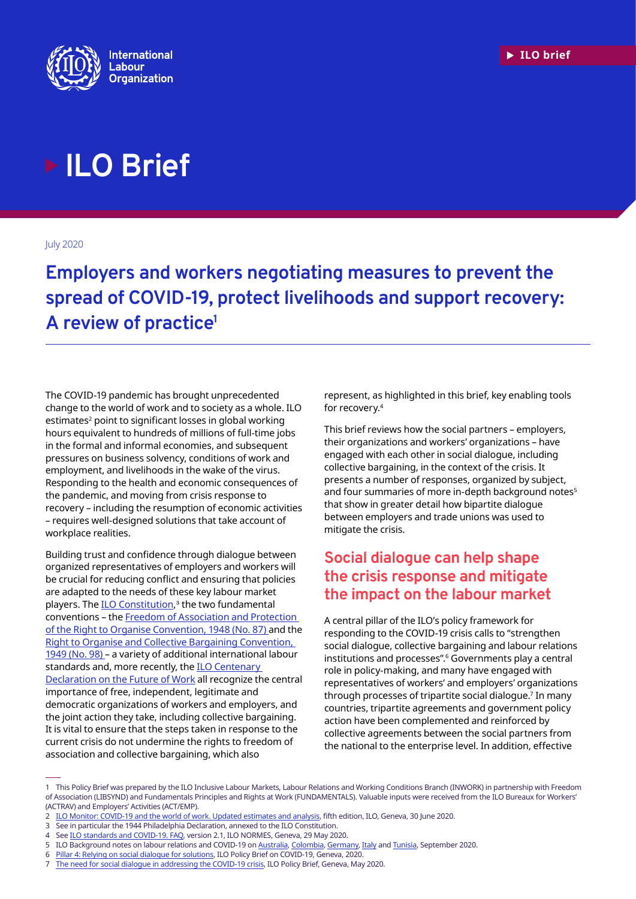

# **ILO Brief**

July 2020

**Employers and workers negotiating measures to prevent the spread of COVID-19, protect livelihoods and support recovery: A review of practice1**

The COVID-19 pandemic has brought unprecedented change to the world of work and to society as a whole. ILO estimates<sup>2</sup> point to significant losses in global working hours equivalent to hundreds of millions of full-time jobs in the formal and informal economies, and subsequent pressures on business solvency, conditions of work and employment, and livelihoods in the wake of the virus. Responding to the health and economic consequences of the pandemic, and moving from crisis response to recovery – including the resumption of economic activities – requires well-designed solutions that take account of workplace realities.

Building trust and confidence through dialogue between organized representatives of employers and workers will be crucial for reducing conflict and ensuring that policies are adapted to the needs of these key labour market players. The <u>[ILO Constitution](https://www.ilo.org/dyn/normlex/en/f?p=1000:62:0::NO:62:P62_LIST_ENTRIE_ID:2453907:NO
)</u>,<sup>s</sup> the two fundamental conventions – the [Freedom of Association and Protection](https://www.ilo.org/dyn/normlex/en/f?p=NORMLEXPUB:12100:0::NO::P12100_INSTRUMENT_ID:312232)  [of the Right to Organise Convention, 1948 \(No. 87\)](https://www.ilo.org/dyn/normlex/en/f?p=NORMLEXPUB:12100:0::NO::P12100_INSTRUMENT_ID:312232) and the [Right to Organise and Collective Bargaining Convention,](https://www.ilo.org/dyn/normlex/en/f?p=NORMLEXPUB:12100:0::NO::P12100_ILO_CODE:C098)  [1949 \(No. 98\)](https://www.ilo.org/dyn/normlex/en/f?p=NORMLEXPUB:12100:0::NO::P12100_ILO_CODE:C098) – a variety of additional international labour standards and, more recently, the **ILO Centenary** [Declaration on the Future of Work](https://www.ilo.org/wcmsp5/groups/public/@ed_norm/@relconf/documents/meetingdocument/wcms_711674.pdf) all recognize the central importance of free, independent, legitimate and democratic organizations of workers and employers, and the joint action they take, including collective bargaining. It is vital to ensure that the steps taken in response to the current crisis do not undermine the rights to freedom of association and collective bargaining, which also

represent, as highlighted in this brief, key enabling tools for recovery.<sup>4</sup>

This brief reviews how the social partners – employers, their organizations and workers' organizations – have engaged with each other in social dialogue, including collective bargaining, in the context of the crisis. It presents a number of responses, organized by subject, and four summaries of more in-depth background notes<sup>5</sup> that show in greater detail how bipartite dialogue between employers and trade unions was used to mitigate the crisis.

### **Social dialogue can help shape the crisis response and mitigate the impact on the labour market**

A central pillar of the ILO's policy framework for responding to the COVID-19 crisis calls to "strengthen social dialogue, collective bargaining and labour relations institutions and processes".6 Governments play a central role in policy-making, and many have engaged with representatives of workers' and employers' organizations through processes of tripartite social dialogue.7 In many countries, tripartite agreements and government policy action have been complemented and reinforced by collective agreements between the social partners from the national to the enterprise level. In addition, effective

<sup>1</sup> This Policy Brief was prepared by the ILO Inclusive Labour Markets, Labour Relations and Working Conditions Branch (INWORK) in partnership with Freedom of Association (LIBSYND) and Fundamentals Principles and Rights at Work (FUNDAMENTALS). Valuable inputs were received from the ILO Bureaux for Workers' (ACTRAV) and Employers' Activities (ACT/EMP).

<sup>2</sup> [ILO Monitor: COVID-19 and the world of work. Updated estimates and analysis](https://www.ilo.org/wcmsp5/groups/public/---dgreports/---dcomm/documents/briefingnote/wcms_749399.pdf), fifth edition, ILO, Geneva, 30 June 2020.

<sup>3</sup> See in particular the 1944 Philadelphia Declaration, annexed to the ILO Constitution.

<sup>4</sup> See [ILO standards and COVID-19. FAQ](https://www.ilo.org/global/standards/WCMS_739937/lang--en/index.htm), version 2.1, ILO NORMES, Geneva, 29 May 2020.

<sup>5</sup> ILO Background notes on labour relations and COVID-19 on [Australia,](https://www.ilo.org/asia/publications/issue-briefs/WCMS_756355/lang--en/index.htm) [Colombia](https://www.ilo.org/global/topics/collective-bargaining-labour-relations/publications/WCMS_756356/lang--en/index.htm), [Germany](https://www.ilo.org/global/topics/collective-bargaining-labour-relations/publications/WCMS_756359/lang--en/index.htm), [Italy](https://www.ilo.org/global/topics/collective-bargaining-labour-relations/publications/WCMS_756358/lang--en/index.htm) and [Tunisia](https://www.ilo.org/global/topics/collective-bargaining-labour-relations/publications/WCMS_756357/lang--en/index.htm), September 2020.

<sup>6</sup> [Pillar 4: Relying on social dialogue for solutions,](https://www.ilo.org/global/topics/coronavirus/impacts-and-responses/WCMS_739050/lang--en/index.htm) ILO Policy Brief on COVID-19, Geneva, 2020.

<sup>7</sup> [The need for social dialogue in addressing the COVID-19 crisis](https://www.ilo.org/wcmsp5/groups/public/---ed_dialogue/---dialogue/documents/briefingnote/wcms_743640.pdf), ILO Policy Brief, Geneva, May 2020.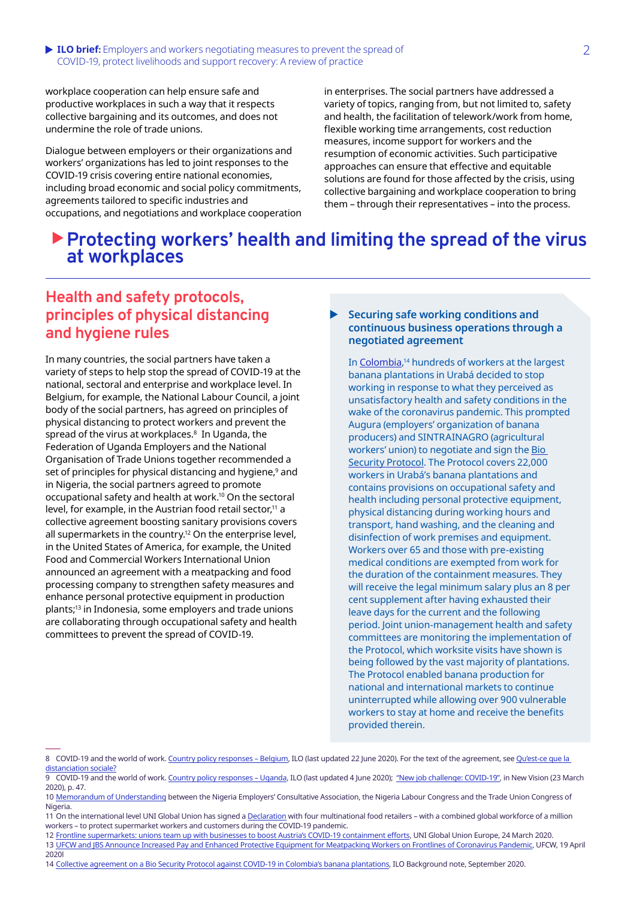workplace cooperation can help ensure safe and productive workplaces in such a way that it respects collective bargaining and its outcomes, and does not undermine the role of trade unions.

Dialogue between employers or their organizations and workers' organizations has led to joint responses to the COVID-19 crisis covering entire national economies, including broad economic and social policy commitments, agreements tailored to specific industries and occupations, and negotiations and workplace cooperation in enterprises. The social partners have addressed a variety of topics, ranging from, but not limited to, safety and health, the facilitation of telework/work from home, flexible working time arrangements, cost reduction measures, income support for workers and the resumption of economic activities. Such participative approaches can ensure that effective and equitable solutions are found for those affected by the crisis, using collective bargaining and workplace cooperation to bring them – through their representatives – into the process.

### X**Protecting workers' health and limiting the spread of the virus at workplaces**

### **Health and safety protocols, principles of physical distancing and hygiene rules**

In many countries, the social partners have taken a variety of steps to help stop the spread of COVID-19 at the national, sectoral and enterprise and workplace level. In Belgium, for example, the National Labour Council, a joint body of the social partners, has agreed on principles of physical distancing to protect workers and prevent the spread of the virus at workplaces. $^{\text{\tiny{8}}}$  In Uganda, the Federation of Uganda Employers and the National Organisation of Trade Unions together recommended a set of principles for physical distancing and hygiene,<sup>9</sup> and in Nigeria, the social partners agreed to promote occupational safety and health at work.<sup>10</sup> On the sectoral level, for example, in the Austrian food retail sector.<sup>11</sup> a collective agreement boosting sanitary provisions covers all supermarkets in the country.12 On the enterprise level, in the United States of America, for example, the United Food and Commercial Workers International Union announced an agreement with a meatpacking and food processing company to strengthen safety measures and enhance personal protective equipment in production plants;13 in Indonesia, some employers and trade unions are collaborating through occupational safety and health committees to prevent the spread of COVID-19.

#### X **Securing safe working conditions and continuous business operations through a negotiated agreement**

In [Colombia](https://www.ilo.org/global/topics/collective-bargaining-labour-relations/publications/WCMS_756356/lang--en/index.htm), <sup>14</sup> hundreds of workers at the largest banana plantations in Urabá decided to stop working in response to what they perceived as unsatisfactory health and safety conditions in the wake of the coronavirus pandemic. This prompted Augura (employers' organization of banana producers) and SINTRAINAGRO (agricultural workers' union) to negotiate and sign the Bio [Security Protocol](http://sintrainagro.org/protocolo-de-bioseguridad-para-trabajadores-bananeros/). The Protocol covers 22,000 workers in Urabá's banana plantations and contains provisions on occupational safety and health including personal protective equipment, physical distancing during working hours and transport, hand washing, and the cleaning and disinfection of work premises and equipment. Workers over 65 and those with pre-existing medical conditions are exempted from work for the duration of the containment measures. They will receive the legal minimum salary plus an 8 per cent supplement after having exhausted their leave days for the current and the following period. Joint union-management health and safety committees are monitoring the implementation of the Protocol, which worksite visits have shown is being followed by the vast majority of plantations. The Protocol enabled banana production for national and international markets to continue uninterrupted while allowing over 900 vulnerable workers to stay at home and receive the benefits provided therein.

14 [Collective agreement on a Bio Security Protocol against COVID-19 in Colombia's banana plantations](https://www.ilo.org/global/topics/collective-bargaining-labour-relations/publications/WCMS_756356/lang--en/index.htm), ILO Background note, September 2020.

<sup>8</sup> COVID-19 and the world of work. [Country policy responses – Belgium](https://www.ilo.org/global/topics/coronavirus/country-responses/lang--en/index.htm#BE), ILO (last updated 22 June 2020). For the text of the agreement, see [Qu'est-ce que la](https://www.feb.be/globalassets/actiedomeinen/veiligheid--welzijn-op-het-werk/veiligheid--welzijn-op-het-werk/solidariteit-verantwoordelijkheid-en-actie/2020-03-27---quest-ce-que-la-distanciation-sociale-clean_changes-def.pdf)  [distanciation sociale?](https://www.feb.be/globalassets/actiedomeinen/veiligheid--welzijn-op-het-werk/veiligheid--welzijn-op-het-werk/solidariteit-verantwoordelijkheid-en-actie/2020-03-27---quest-ce-que-la-distanciation-sociale-clean_changes-def.pdf)

<sup>9</sup> COVID-19 and the world of work. [Country policy responses – Uganda](https://www.ilo.org/global/topics/coronavirus/country-responses/lang--en/index.htm#UG), ILO (last updated 4 June 2020); ["New job challenge: COVID-19"](https://www.fuemployers.org/wp-content/uploads/2020/03/COVID-19_opt.pdf), in New Vision (23 March 2020), p. 47.

<sup>10</sup> [Memorandum of Understanding](https://www.ilo.org/wcmsp5/groups/public/---africa/---ro-abidjan/---ilo-abuja/documents/genericdocument/wcms_748125.pdf) between the Nigeria Employers' Consultative Association, the Nigeria Labour Congress and the Trade Union Congress of Nigeria.

<sup>11</sup> On the international level UNI Global Union has signed a [Declaration](https://www.uniglobalunion.org/news/global-food-retailers-sign-landmark-declaration-uni-tackle-covid-19-others-should-follow) with four multinational food retailers – with a combined global workforce of a million workers – to protect supermarket workers and customers during the COVID-19 pandemic.

<sup>12</sup> [Frontline supermarkets: unions team up with businesses to boost Austria's COVID-19 containment efforts,](https://www.uni-europa.org/2020/03/24/frontline-supermarkets-unions-team-up-with-businesses-to-boost-austrias-covid-19-containment-efforts/) UNI Global Union Europe, 24 March 2020.

<sup>13</sup> [UFCW and JBS Announce Increased Pay and Enhanced Protective Equipment for Meatpacking Workers on Frontlines of Coronavirus Pandemic](http://www.ufcw.org/2020/04/19/ufcw-and-jbs-announce-increased-pay-and-enhanced-protective-equipment-for-meatpacking-workers-on-frontlines-of-coronavirus-pandemic/), UFCW, 19 April 2020l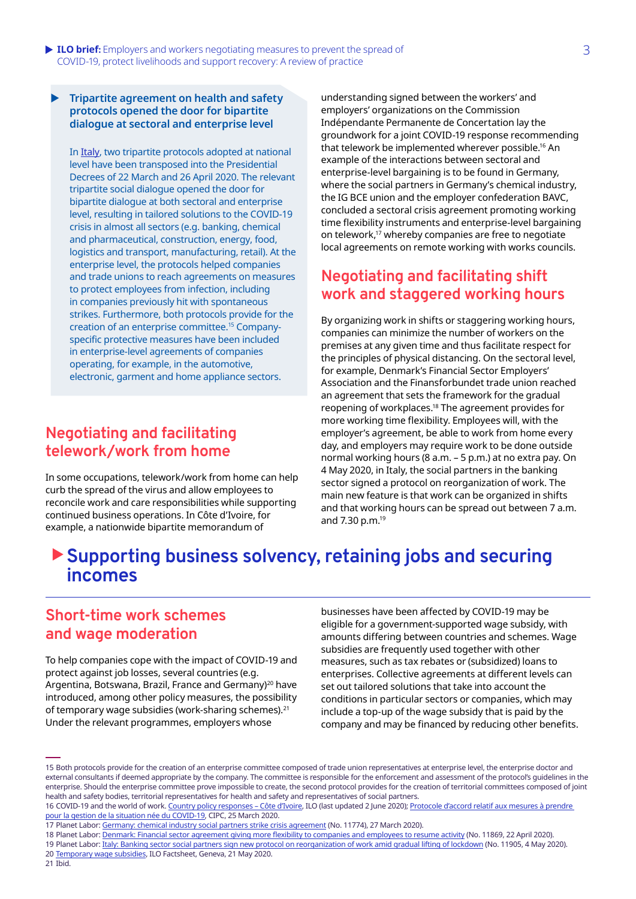**• ILO brief:** Employers and workers negotiating measures to prevent the spread of 3 COVID-19, protect livelihoods and support recovery: A review of practice

#### **Tripartite agreement on health and safety protocols opened the door for bipartite dialogue at sectoral and enterprise level**

In [Italy](https://www.ilo.org/global/topics/collective-bargaining-labour-relations/publications/WCMS_756358/lang--en/index.htm), two tripartite protocols adopted at national level have been transposed into the Presidential Decrees of 22 March and 26 April 2020. The relevant tripartite social dialogue opened the door for bipartite dialogue at both sectoral and enterprise level, resulting in tailored solutions to the COVID-19 crisis in almost all sectors (e.g. banking, chemical and pharmaceutical, construction, energy, food, logistics and transport, manufacturing, retail). At the enterprise level, the protocols helped companies and trade unions to reach agreements on measures to protect employees from infection, including in companies previously hit with spontaneous strikes. Furthermore, both protocols provide for the creation of an enterprise committee.15 Companyspecific protective measures have been included in enterprise-level agreements of companies operating, for example, in the automotive, electronic, garment and home appliance sectors.

### **Negotiating and facilitating telework/work from home**

In some occupations, telework/work from home can help curb the spread of the virus and allow employees to reconcile work and care responsibilities while supporting continued business operations. In Côte d'Ivoire, for example, a nationwide bipartite memorandum of

understanding signed between the workers' and employers' organizations on the Commission Indépendante Permanente de Concertation lay the groundwork for a joint COVID-19 response recommending that telework be implemented wherever possible.16 An example of the interactions between sectoral and enterprise-level bargaining is to be found in Germany, where the social partners in Germany's chemical industry, the IG BCE union and the employer confederation BAVC, concluded a sectoral crisis agreement promoting working time flexibility instruments and enterprise-level bargaining on telework,17 whereby companies are free to negotiate local agreements on remote working with works councils.

### **Negotiating and facilitating shift work and staggered working hours**

By organizing work in shifts or staggering working hours, companies can minimize the number of workers on the premises at any given time and thus facilitate respect for the principles of physical distancing. On the sectoral level, for example, Denmark's Financial Sector Employers' Association and the Finansforbundet trade union reached an agreement that sets the framework for the gradual reopening of workplaces.<sup>18</sup> The agreement provides for more working time flexibility. Employees will, with the employer's agreement, be able to work from home every day, and employers may require work to be done outside normal working hours (8 a.m. – 5 p.m.) at no extra pay. On 4 May 2020, in Italy, the social partners in the banking sector signed a protocol on reorganization of work. The main new feature is that work can be organized in shifts and that working hours can be spread out between 7 a.m. and 7.30 p.m.<sup>19</sup>

# ▶ Supporting business solvency, retaining jobs and securing **incomes**

### **Short-time work schemes and wage moderation**

To help companies cope with the impact of COVID-19 and protect against job losses, several countries (e.g. Argentina, Botswana, Brazil, France and Germany)<sup>20</sup> have introduced, among other policy measures, the possibility of temporary wage subsidies (work-sharing schemes).21 Under the relevant programmes, employers whose

businesses have been affected by COVID-19 may be eligible for a government-supported wage subsidy, with amounts differing between countries and schemes. Wage subsidies are frequently used together with other measures, such as tax rebates or (subsidized) loans to enterprises. Collective agreements at different levels can set out tailored solutions that take into account the conditions in particular sectors or companies, which may include a top-up of the wage subsidy that is paid by the company and may be financed by reducing other benefits.

20 [Temporary wage subsidies](https://www.ilo.org/wcmsp5/groups/public/---ed_protect/---protrav/---travail/documents/publication/wcms_745666.pdf), ILO Factsheet, Geneva, 21 May 2020.

21 Ibid.

<sup>15</sup> Both protocols provide for the creation of an enterprise committee composed of trade union representatives at enterprise level, the enterprise doctor and external consultants if deemed appropriate by the company. The committee is responsible for the enforcement and assessment of the protocol's guidelines in the enterprise. Should the enterprise committee prove impossible to create, the second protocol provides for the creation of territorial committees composed of joint health and safety bodies, territorial representatives for health and safety and representatives of social partners.

<sup>16</sup> COVID-19 and the world of work. [Country policy responses – Côte d'Ivoire](https://www.ilo.org/global/topics/coronavirus/country-responses/lang--en/index.htm#CI), ILO (last updated 2 June 2020); [Protocole d'accord relatif aux mesures à prendre](https://news.abidjan.net/documents/docs/PROTOCOLEDACCORDCIPCCOVID-19.pdf)  [pour la gestion de la situation née du COVID-19](https://news.abidjan.net/documents/docs/PROTOCOLEDACCORDCIPCCOVID-19.pdf), CIPC, 25 March 2020.

<sup>17</sup> Planet Labor: [Germany: chemical industry social partners strike crisis agreement](https://www.planetlabor.com/en/industrial-relations-en/national-industrial-relations/germany-chemical-industry-social-partners-strike-crisis-agreement/) (No. 11774), 27 March 2020).

<sup>18</sup> Planet Labor: [Denmark: Financial sector agreement giving more flexibility to companies and employees to resume activity](https://www.planetlabor.com/en/industrial-relations-en/national-industrial-relations/denmark-financial-sector-agreement-giving-more-flexibility-to-companies-and-employees-to-resume-activity/) (No. 11869, 22 April 2020).

<sup>19</sup> Planet Labor: [Italy: Banking sector social partners sign new protocol on reorganization of work amid gradual lifting of lockdown](https://www.planetlabor.com/en/industrial-relations-en/national-industrial-relations/italy-banking-sector-social-partners-sign-new-protocol-on-reorganisation-of-work-amid-gradual-lifting-of-lockdown/) (No. 11905, 4 May 2020).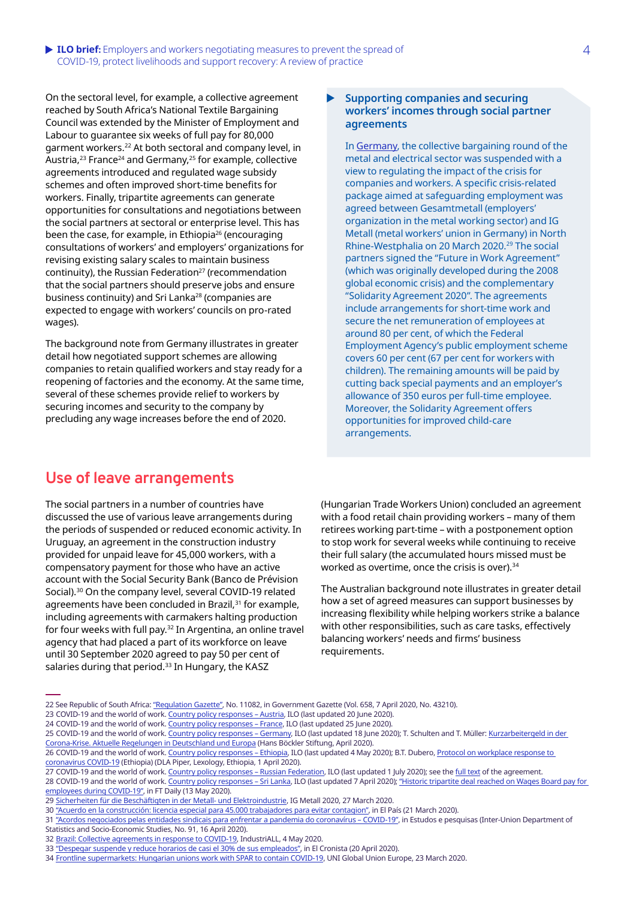#### **ILO brief:** Employers and workers negotiating measures to prevent the spread of 4 COVID-19, protect livelihoods and support recovery: A review of practice

On the sectoral level, for example, a collective agreement reached by South Africa's National Textile Bargaining Council was extended by the Minister of Employment and Labour to guarantee six weeks of full pay for 80,000 garment workers.22 At both sectoral and company level, in Austria,<sup>23</sup> France<sup>24</sup> and Germany,<sup>25</sup> for example, collective agreements introduced and regulated wage subsidy schemes and often improved short-time benefits for workers. Finally, tripartite agreements can generate opportunities for consultations and negotiations between the social partners at sectoral or enterprise level. This has been the case, for example, in Ethiopia26 (encouraging consultations of workers' and employers' organizations for revising existing salary scales to maintain business continuity), the Russian Federation $27$  (recommendation that the social partners should preserve jobs and ensure business continuity) and Sri Lanka<sup>28</sup> (companies are expected to engage with workers' councils on pro-rated wages).

The background note from Germany illustrates in greater detail how negotiated support schemes are allowing companies to retain qualified workers and stay ready for a reopening of factories and the economy. At the same time, several of these schemes provide relief to workers by securing incomes and security to the company by precluding any wage increases before the end of 2020.

#### **Supporting companies and securing workers' incomes through social partner agreements**

In [Germany](https://www.ilo.org/global/topics/collective-bargaining-labour-relations/publications/WCMS_756359/lang--en/index.htm), the collective bargaining round of the metal and electrical sector was suspended with a view to regulating the impact of the crisis for companies and workers. A specific crisis-related package aimed at safeguarding employment was agreed between Gesamtmetall (employers' organization in the metal working sector) and IG Metall (metal workers' union in Germany) in North Rhine-Westphalia on 20 March 2020.29 The social partners signed the "Future in Work Agreement" (which was originally developed during the 2008 global economic crisis) and the complementary "Solidarity Agreement 2020". The agreements include arrangements for short-time work and secure the net remuneration of employees at around 80 per cent, of which the Federal Employment Agency's public employment scheme covers 60 per cent (67 per cent for workers with children). The remaining amounts will be paid by cutting back special payments and an employer's allowance of 350 euros per full-time employee. Moreover, the Solidarity Agreement offers opportunities for improved child-care arrangements.

### **Use of leave arrangements**

The social partners in a number of countries have discussed the use of various leave arrangements during the periods of suspended or reduced economic activity. In Uruguay, an agreement in the construction industry provided for unpaid leave for 45,000 workers, with a compensatory payment for those who have an active account with the Social Security Bank (Banco de Prévision Social).<sup>30</sup> On the company level, several COVID-19 related agreements have been concluded in Brazil,<sup>31</sup> for example, including agreements with carmakers halting production for four weeks with full pay.<sup>32</sup> In Argentina, an online travel agency that had placed a part of its workforce on leave until 30 September 2020 agreed to pay 50 per cent of salaries during that period.<sup>33</sup> In Hungary, the KASZ

(Hungarian Trade Workers Union) concluded an agreement with a food retail chain providing workers – many of them retirees working part-time – with a postponement option to stop work for several weeks while continuing to receive their full salary (the accumulated hours missed must be worked as overtime, once the crisis is over).<sup>34</sup>

The Australian background note illustrates in greater detail how a set of agreed measures can support businesses by increasing flexibility while helping workers strike a balance with other responsibilities, such as care tasks, effectively balancing workers' needs and firms' business requirements.

27 COVID-19 and the world of work. Country policy responses - Russian Federation, ILO (last updated 1 July 2020); see the [full text](https://www.ilo.org/wcmsp5/groups/public/---europe/---ro-geneva/---sro-moscow/documents/genericdocument/wcms_741484.pdf) of the agreement.

<sup>22</sup> See Republic of South Africa: ["Regulation Gazette"](http://www.ntbc.org.za/pdf/gazette-COVID-07-04-2020.pdf), No. 11082, in Government Gazette (Vol. 658, 7 April 2020, No. 43210).

<sup>23</sup> COVID-19 and the world of work. [Country policy responses – Austria](https://www.ilo.org/global/topics/coronavirus/country-responses/lang--en/index.htm#AT), ILO (last updated 20 June 2020).

<sup>24</sup> COVID-19 and the world of work. [Country policy responses – France](https://www.ilo.org/global/topics/coronavirus/country-responses/lang--en/index.htm#FR), ILO (last updated 25 June 2020).

<sup>25</sup> COVID-19 and the world of work. [Country policy responses – Germany](https://www.ilo.org/global/topics/coronavirus/country-responses/lang--en/index.htm#DE), ILO (last updated 18 June 2020); T. Schulten and T. Müller: Kurzarbeitergeld in der [Corona-Krise. Aktuelle Regelungen in Deutschland und Europa](https://www.boeckler.de/pdf/p_wsi_pb_38_2020.pdf) (Hans Böckler Stiftung, April 2020).

<sup>26</sup> COVID-19 and the world of work. [Country policy responses – Ethiopia](https://www.ilo.org/global/topics/coronavirus/country-responses/lang--en/index.htm#ET), ILO (last updated 4 May 2020); B.T. Dubero, [Protocol on workplace response to](https://www.lexology.com/library/detail.aspx?g=53c09dc5-cc94-4a71-bfb3-c5e5c0cf5ff1)  [coronavirus COVID-19](https://www.lexology.com/library/detail.aspx?g=53c09dc5-cc94-4a71-bfb3-c5e5c0cf5ff1) (Ethiopia) (DLA Piper, Lexology, Ethiopia, 1 April 2020).

<sup>28</sup> COVID-19 and the world of work. [Country policy responses – Sri Lanka](https://www.ilo.org/global/topics/coronavirus/country-responses/lang--en/index.htm#LK), ILO (last updated 7 April 2020); "Historic tripartite deal reached on Wages Board pay for [employees during COVID-19"](http://www.ft.lk/front-page/Historic-tripartite-deal-reached-on-Wages-Board-pay-for-employees-during-COVID-19/44-700141), in FT Daily (13 May 2020).

<sup>29</sup> [Sicherheiten für die Beschäftigten in der Metall- und Elektroindustrie](https://www.igmetall.de/tarif/tarifrunden/metall-und-elektro/sicherheiten-fuer-beschaeftigte-in-metall-elektroindustrie), IG Metall 2020, 27 March 2020.

<sup>30</sup> ["Acuerdo en la construcción: licencia especial para 45.000 trabajadores para evitar contagion",](https://www.elpais.com.uy/informacion/sindicales/acuerdo-construccion-licencia-especial-pandemia-coronavirus.html) in El País (21 March 2020).

<sup>31</sup> ["Acordos negociados pelas entidades sindicais para enfrentar a pandemia do coronavírus – COVID-19",](https://www.dieese.org.br/estudosepesquisas/2020/estPesq91AcordosCovid.html) in Estudos e pesquisas (Inter-Union Department of

Statistics and Socio-Economic Studies, No. 91, 16 April 2020).

<sup>32</sup> [Brazil: Collective agreements in response to COVID-19](http://www.industriall-union.org/brazil-collective-agreements-in-response-to-covid-19), IndustriALL, 4 May 2020.

<sup>33</sup> ["Despegar suspende y reduce horarios de casi el 30% de sus empleados"](https://www.cronista.com/apertura-negocio/empresas/Coronavirus-Despegar-suspende-y-reduce-horarios-de-casi-el-30-de-sus-empleados-20200420-0005.html), in El Cronista (20 April 2020).

<sup>34</sup> [Frontline supermarkets: Hungarian unions work with SPAR to contain COVID-19](https://www.uni-europa.org/2020/03/frontline-supermarkets-unions-work-with-spar-to-cover-for-governments-failing-covid-19-response-in-hungary/), UNI Global Union Europe, 23 March 2020.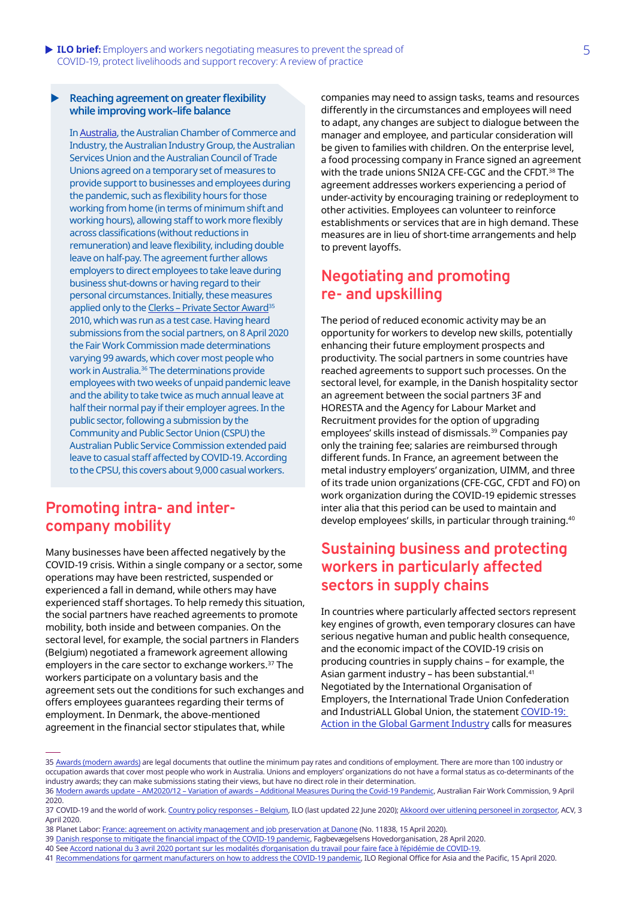#### X **Reaching agreement on greater flexibility while improving work–life balance**

In [Australia](https://www.ilo.org/asia/publications/issue-briefs/WCMS_756355/lang--en/index.htm), the Australian Chamber of Commerce and Industry, the Australian Industry Group, the Australian Services Union and the Australian Council of Trade Unions agreed on a temporary set of measures to provide support to businesses and employees during the pandemic, such as flexibility hours for those working from home (in terms of minimum shift and working hours), allowing staff to work more flexibly across classifications (without reductions in remuneration) and leave flexibility, including double leave on half-pay. The agreement further allows employers to direct employees to take leave during business shut-downs or having regard to their personal circumstances. Initially, these measures applied only to the Clerks - Private Sector Award<sup>35</sup> 2010, which was run as a test case. Having heard submissions from the social partners, on 8 April 2020 the Fair Work Commission made determinations varying 99 awards, which cover most people who work in Australia.<sup>36</sup> The determinations provide employees with two weeks of unpaid pandemic leave and the ability to take twice as much annual leave at half their normal pay if their employer agrees. In the public sector, following a submission by the Community and Public Sector Union (CSPU) the Australian Public Service Commission extended paid leave to casual staff affected by COVID-19. According to the CPSU, this covers about 9,000 casual workers.

### **Promoting intra- and intercompany mobility**

Many businesses have been affected negatively by the COVID-19 crisis. Within a single company or a sector, some operations may have been restricted, suspended or experienced a fall in demand, while others may have experienced staff shortages. To help remedy this situation, the social partners have reached agreements to promote mobility, both inside and between companies. On the sectoral level, for example, the social partners in Flanders (Belgium) negotiated a framework agreement allowing employers in the care sector to exchange workers.<sup>37</sup> The workers participate on a voluntary basis and the agreement sets out the conditions for such exchanges and offers employees guarantees regarding their terms of employment. In Denmark, the above-mentioned agreement in the financial sector stipulates that, while

companies may need to assign tasks, teams and resources differently in the circumstances and employees will need to adapt, any changes are subject to dialogue between the manager and employee, and particular consideration will be given to families with children. On the enterprise level, a food processing company in France signed an agreement with the trade unions SNI2A CFE-CGC and the CFDT.38 The agreement addresses workers experiencing a period of under-activity by encouraging training or redeployment to other activities. Employees can volunteer to reinforce establishments or services that are in high demand. These measures are in lieu of short-time arrangements and help to prevent layoffs.

### **Negotiating and promoting re- and upskilling**

The period of reduced economic activity may be an opportunity for workers to develop new skills, potentially enhancing their future employment prospects and productivity. The social partners in some countries have reached agreements to support such processes. On the sectoral level, for example, in the Danish hospitality sector an agreement between the social partners 3F and HORESTA and the Agency for Labour Market and Recruitment provides for the option of upgrading employees' skills instead of dismissals.<sup>39</sup> Companies pay only the training fee; salaries are reimbursed through different funds. In France, an agreement between the metal industry employers' organization, UIMM, and three of its trade union organizations (CFE-CGC, CFDT and FO) on work organization during the COVID-19 epidemic stresses inter alia that this period can be used to maintain and develop employees' skills, in particular through training.<sup>40</sup>

### **Sustaining business and protecting workers in particularly affected sectors in supply chains**

In countries where particularly affected sectors represent key engines of growth, even temporary closures can have serious negative human and public health consequence, and the economic impact of the COVID-19 crisis on producing countries in supply chains – for example, the Asian garment industry - has been substantial.<sup>41</sup> Negotiated by the International Organisation of Employers, the International Trade Union Confederation and IndustriALL Global Union, the statement [COVID-19:](https://www.ilo.org/global/topics/coronavirus/WCMS_742371/lang--en/index.htm)  [Action in the Global Garment Industry](https://www.ilo.org/global/topics/coronavirus/WCMS_742371/lang--en/index.htm) calls for measures

<sup>35</sup> [Awards \(modern awards\)](https://www.fairwork.gov.au/awards-and-agreements/awards) are legal documents that outline the minimum pay rates and conditions of employment. There are more than 100 industry or occupation awards that cover most people who work in Australia. Unions and employers' organizations do not have a formal status as co-determinants of the industry awards; they can make submissions stating their views, but have no direct role in their determination.

<sup>36</sup> [Modern awards update – AM2020/12 – Variation of awards – Additional Measures During the Covid-19 Pandemic](https://www.fwc.gov.au/documents/documents/resources/covid-19-information/email-2020-04-09-modern-award-updates-flexibility-covid-19.pdf), Australian Fair Work Commission, 9 April 2020.

<sup>37</sup> COVID-19 and the world of work. [Country policy responses – Belgium](https://www.ilo.org/global/topics/coronavirus/country-responses/lang--en/index.htm#BE), ILO (last updated 22 June 2020); [Akkoord over uitlening personeel in zorgsector](https://www.hetacv.be/het-acv/sectoren/non-profit/2020/04/03/akkoord-over-uitlening-personeel-in-zorgsector), ACV, 3 April 2020.

<sup>38</sup> Planet Labor: [France: agreement on activity management and job preservation at Danone](https://www.planetlabor.com/en/industrial-relations-en/national-industrial-relations/france-agreement-on-activity-management-and-job-preservation-at-danone/) (No. 11838, 15 April 2020).

<sup>39</sup> [Danish response to mitigate the financial impact of the COVID-19 pandemic](https://fho.dk/blog/2020/04/28/danish-response-to-mitigate-the-financial-impact-of-the-covid-19-pandemic/), Fagbevægelsens Hovedorganisation, 28 April 2020.

<sup>40</sup> See [Accord national du 3 avril 2020 portant sur les modalités d'organisation du travail pour faire face à l'épidémie de COVID-19](https://www.bdo.fr/getmedia/d9296174-b477-40bd-aa28-479e7978f0f9/accord_national_du_3_avril_2020_portant_sur_les_modalites_dorganisation_du_travail_pour_faire_face_a_lepidemie_de_covid-19_-_signe.pdf.aspx).

<sup>41</sup> [Recommendations for garment manufacturers on how to address the COVID-19 pandemic](https://www.ilo.org/wcmsp5/groups/public/---asia/---ro-bangkok/documents/briefingnote/wcms_741642.pdf), ILO Regional Office for Asia and the Pacific, 15 April 2020.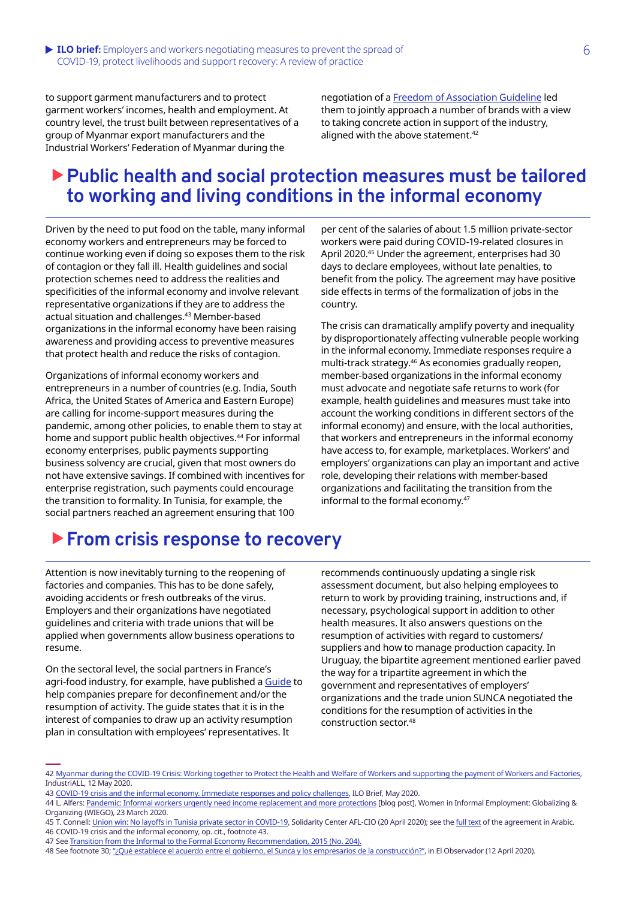#### **ILO brief:** Employers and workers negotiating measures to prevent the spread of 6 COVID-19, protect livelihoods and support recovery: A review of practice

to support garment manufacturers and to protect garment workers' incomes, health and employment. At country level, the trust built between representatives of a group of Myanmar export manufacturers and the Industrial Workers' Federation of Myanmar during the

negotiation of a [Freedom of Association Guideline](http://www.industriall-union.org/garment-workers-suppliers-and-act-brands-launch-freedom-of-association-guideline) led them to jointly approach a number of brands with a view to taking concrete action in support of the industry, aligned with the above statement.<sup>42</sup>

# X**Public health and social protection measures must be tailored to working and living conditions in the informal economy**

Driven by the need to put food on the table, many informal economy workers and entrepreneurs may be forced to continue working even if doing so exposes them to the risk of contagion or they fall ill. Health guidelines and social protection schemes need to address the realities and specificities of the informal economy and involve relevant representative organizations if they are to address the actual situation and challenges.<sup>43</sup> Member-based organizations in the informal economy have been raising awareness and providing access to preventive measures that protect health and reduce the risks of contagion.

Organizations of informal economy workers and entrepreneurs in a number of countries (e.g. India, South Africa, the United States of America and Eastern Europe) are calling for income-support measures during the pandemic, among other policies, to enable them to stay at home and support public health objectives.<sup>44</sup> For informal economy enterprises, public payments supporting business solvency are crucial, given that most owners do not have extensive savings. If combined with incentives for enterprise registration, such payments could encourage the transition to formality. In Tunisia, for example, the social partners reached an agreement ensuring that 100

per cent of the salaries of about 1.5 million private-sector workers were paid during COVID-19-related closures in April 2020.45 Under the agreement, enterprises had 30 days to declare employees, without late penalties, to benefit from the policy. The agreement may have positive side effects in terms of the formalization of jobs in the country.

The crisis can dramatically amplify poverty and inequality by disproportionately affecting vulnerable people working in the informal economy. Immediate responses require a multi-track strategy.<sup>46</sup> As economies gradually reopen, member-based organizations in the informal economy must advocate and negotiate safe returns to work (for example, health guidelines and measures must take into account the working conditions in different sectors of the informal economy) and ensure, with the local authorities, that workers and entrepreneurs in the informal economy have access to, for example, marketplaces. Workers' and employers' organizations can play an important and active role, developing their relations with member-based organizations and facilitating the transition from the informal to the formal economy.<sup>47</sup>

# ▶ From crisis response to recovery

Attention is now inevitably turning to the reopening of factories and companies. This has to be done safely, avoiding accidents or fresh outbreaks of the virus. Employers and their organizations have negotiated guidelines and criteria with trade unions that will be applied when governments allow business operations to resume.

On the sectoral level, the social partners in France's agri-food industry, for example, have published a G[uide](https://www.planetlabor.com/wp-content/uploads/2020/05/Guide-d%E2%80%99aide-%C3%A0-la-pr%C3%A9paration-au-d%C3%A9confinement-et-ou-%C3%A0-la-reprise-d%E2%80%99activit%C3%A9-pour-les-entreprises-alimentaires-Avril-2020.pdf) to help companies prepare for deconfinement and/or the resumption of activity. The guide states that it is in the interest of companies to draw up an activity resumption plan in consultation with employees' representatives. It

recommends continuously updating a single risk assessment document, but also helping employees to return to work by providing training, instructions and, if necessary, psychological support in addition to other health measures. It also answers questions on the resumption of activities with regard to customers/ suppliers and how to manage production capacity. In Uruguay, the bipartite agreement mentioned earlier paved the way for a tripartite agreement in which the government and representatives of employers' organizations and the trade union SUNCA negotiated the conditions for the resumption of activities in the construction sector.48

<sup>42</sup> [Myanmar during the COVID-19 Crisis: Working together to Protect the Health and Welfare of Workers and supporting the payment of Workers and Factories](http://www.industriall-union.org/sites/default/files/uploads/documents/2020/MYANMAR/final_joint_statement_brands-act_employers-union_on_covid_myanmar_english_original.pdf), IndustriALL, 12 May 2020.

<sup>43</sup> [COVID-19 crisis and the informal economy. Immediate responses and policy challenges](https://www.ilo.org/wcmsp5/groups/public/---ed_protect/---protrav/---travail/documents/briefingnote/wcms_743623.pdf), ILO Brief, May 2020.

<sup>44</sup> L. Alfers: [Pandemic: Informal workers urgently need income replacement and more protections](https://www.wiego.org/blog/pandemic-informal-workers-urgently-need-income-replacement-and-more-protections) [blog post], Women in Informal Employment: Globalizing & Organizing (WIEGO), 23 March 2020.

<sup>45</sup> T. Connell: [Union win: No layoffs in Tunisia private sector in COVID-19,](https://www.solidaritycenter.org/union-win-no-layoffs-in-tunisia-private-sector-in-covid-19/) Solidarity Center AFL-CIO (20 April 2020); see the [full text](http://www.industriall-union.org/sites/default/files/uploads/documents/2020/TUNISIA/tunisia_private_sector_agreement_april_2020.pdf) of the agreement in Arabic. 46 COVID-19 crisis and the informal economy, op. cit., footnote 43.

<sup>47</sup> See [Transition from the Informal to the Formal Economy Recommendation, 2015 \(No. 204\).](https://www.ilo.org/dyn/normlex/en/f?p=NORMLEXPUB:12100:0::NO::P12100_ILO_CODE:R204)

<sup>48</sup> See footnote 30; ["¿Qué establece el acuerdo entre el gobierno, el Sunca y los empresarios de la construcción?"](https://www.elobservador.com.uy/nota/-que-establece-el-acuerdo-entre-el-gobierno-el-sunca-y-los-empresarios-de-la-construccion--202041210152), in El Observador (12 April 2020).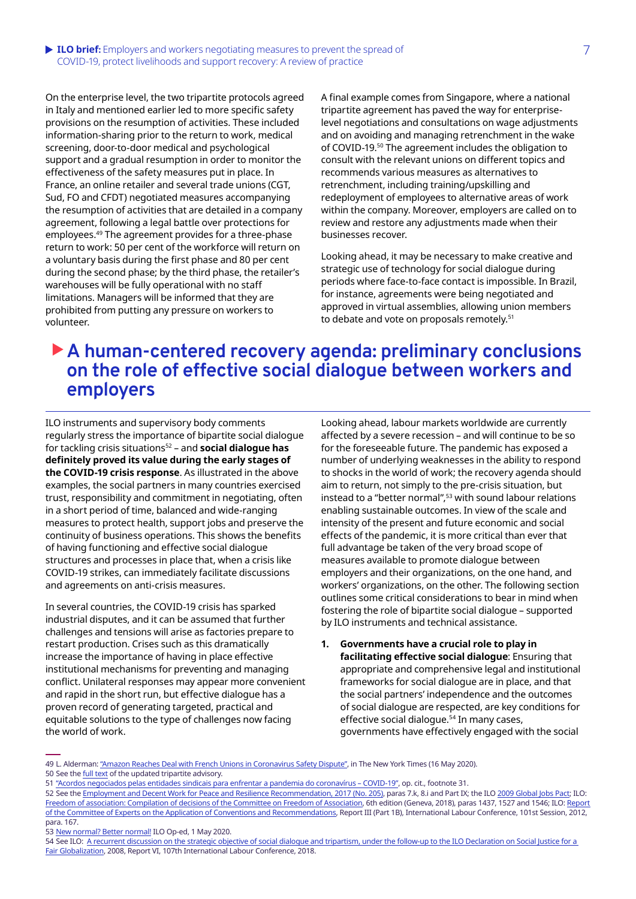#### **• ILO brief:** Employers and workers negotiating measures to prevent the spread of 7 COVID-19, protect livelihoods and support recovery: A review of practice

On the enterprise level, the two tripartite protocols agreed in Italy and mentioned earlier led to more specific safety provisions on the resumption of activities. These included information-sharing prior to the return to work, medical screening, door-to-door medical and psychological support and a gradual resumption in order to monitor the effectiveness of the safety measures put in place. In France, an online retailer and several trade unions (CGT, Sud, FO and CFDT) negotiated measures accompanying the resumption of activities that are detailed in a company agreement, following a legal battle over protections for employees.<sup>49</sup> The agreement provides for a three-phase return to work: 50 per cent of the workforce will return on a voluntary basis during the first phase and 80 per cent during the second phase; by the third phase, the retailer's warehouses will be fully operational with no staff limitations. Managers will be informed that they are prohibited from putting any pressure on workers to volunteer.

A final example comes from Singapore, where a national tripartite agreement has paved the way for enterpriselevel negotiations and consultations on wage adjustments and on avoiding and managing retrenchment in the wake of COVID-19.<sup>50</sup> The agreement includes the obligation to consult with the relevant unions on different topics and recommends various measures as alternatives to retrenchment, including training/upskilling and redeployment of employees to alternative areas of work within the company. Moreover, employers are called on to review and restore any adjustments made when their businesses recover.

Looking ahead, it may be necessary to make creative and strategic use of technology for social dialogue during periods where face-to-face contact is impossible. In Brazil, for instance, agreements were being negotiated and approved in virtual assemblies, allowing union members to debate and vote on proposals remotely.<sup>51</sup>

# ▶ A human-centered recovery agenda: preliminary conclusions **on the role of effective social dialogue between workers and employers**

ILO instruments and supervisory body comments regularly stress the importance of bipartite social dialogue for tackling crisis situations52 – and **social dialogue has definitely proved its value during the early stages of the COVID-19 crisis response**. As illustrated in the above examples, the social partners in many countries exercised trust, responsibility and commitment in negotiating, often in a short period of time, balanced and wide-ranging measures to protect health, support jobs and preserve the continuity of business operations. This shows the benefits of having functioning and effective social dialogue structures and processes in place that, when a crisis like COVID-19 strikes, can immediately facilitate discussions and agreements on anti-crisis measures.

In several countries, the COVID-19 crisis has sparked industrial disputes, and it can be assumed that further challenges and tensions will arise as factories prepare to restart production. Crises such as this dramatically increase the importance of having in place effective institutional mechanisms for preventing and managing conflict. Unilateral responses may appear more convenient and rapid in the short run, but effective dialogue has a proven record of generating targeted, practical and equitable solutions to the type of challenges now facing the world of work.

Looking ahead, labour markets worldwide are currently affected by a severe recession – and will continue to be so for the foreseeable future. The pandemic has exposed a number of underlying weaknesses in the ability to respond to shocks in the world of work; the recovery agenda should aim to return, not simply to the pre-crisis situation, but instead to a "better normal",<sup>53</sup> with sound labour relations enabling sustainable outcomes. In view of the scale and intensity of the present and future economic and social effects of the pandemic, it is more critical than ever that full advantage be taken of the very broad scope of measures available to promote dialogue between employers and their organizations, on the one hand, and workers' organizations, on the other. The following section outlines some critical considerations to bear in mind when fostering the role of bipartite social dialogue – supported by ILO instruments and technical assistance.

**1. Governments have a crucial role to play in facilitating effective social dialogue**: Ensuring that appropriate and comprehensive legal and institutional frameworks for social dialogue are in place, and that the social partners' independence and the outcomes of social dialogue are respected, are key conditions for effective social dialogue.<sup>54</sup> In many cases, governments have effectively engaged with the social

50 See the [full text](https://www.mom.gov.sg/-/media/mom/documents/employment-practices/guidelines/tripartite-advisory-on-managing-excess-manpower-and-responsible-retrenchment.pdf) of the updated tripartite advisory.

<sup>49</sup> L. Alderman: ["Amazon Reaches Deal with French Unions in Coronavirus Safety Dispute"](https://www.nytimes.com/2020/05/16/business/amazon-france-unions-coronavirus.html), in The New York Times (16 May 2020).

<sup>51</sup> ["Acordos negociados pelas entidades sindicais para enfrentar a pandemia do coronavírus – COVID-19"](https://www.dieese.org.br/estudosepesquisas/2020/estPesq91AcordosCovid.html), op. cit., footnote 31.

<sup>52</sup> See the [Employment and Decent Work for Peace and Resilience Recommendation, 2017 \(No. 205\),](https://www.ilo.org/dyn/normlex/en/f?p=NORMLEXPUB:12100:0::NO::P12100_ILO_CODE:R205) paras 7.k, 8.i and Part IX; the ILO [2009 Global Jobs Pact](https://www.ilo.org/wcmsp5/groups/public/---ed_norm/---relconf/documents/meetingdocument/wcms_115076.pdf); ILO: [Freedom of association: Compilation of decisions of the Committee on Freedom of Association](https://www.ilo.org/wcmsp5/groups/public/---ed_norm/---normes/documents/publication/wcms_632659.pdf), 6th edition (Geneva, 2018), paras 1437, 1527 and 1546; ILO: [Report](https://www.ilo.org/wcmsp5/groups/public/---ed_norm/---relconf/documents/meetingdocument/wcms_174846.pdf)  [of the Committee of Experts on the Application of Conventions and Recommendations](https://www.ilo.org/wcmsp5/groups/public/---ed_norm/---relconf/documents/meetingdocument/wcms_174846.pdf), Report III (Part 1B), International Labour Conference, 101st Session, 2012, para. 167.

<sup>53</sup> [New normal? Better normal!](https://www.ilo.org/global/about-the-ilo/newsroom/news/WCMS_743326/lang--en/index.htm) ILO Op-ed, 1 May 2020.

<sup>54</sup> See ILO: A recurrent discussion on the strategic objective of social dialogue and tripartism, under the follow-up to the ILO Declaration on Social Justice for a [Fair Globalization](https://www.ilo.org/wcmsp5/groups/public/---ed_norm/---relconf/documents/meetingdocument/wcms_631652.pdf), 2008, Report VI, 107th International Labour Conference, 2018.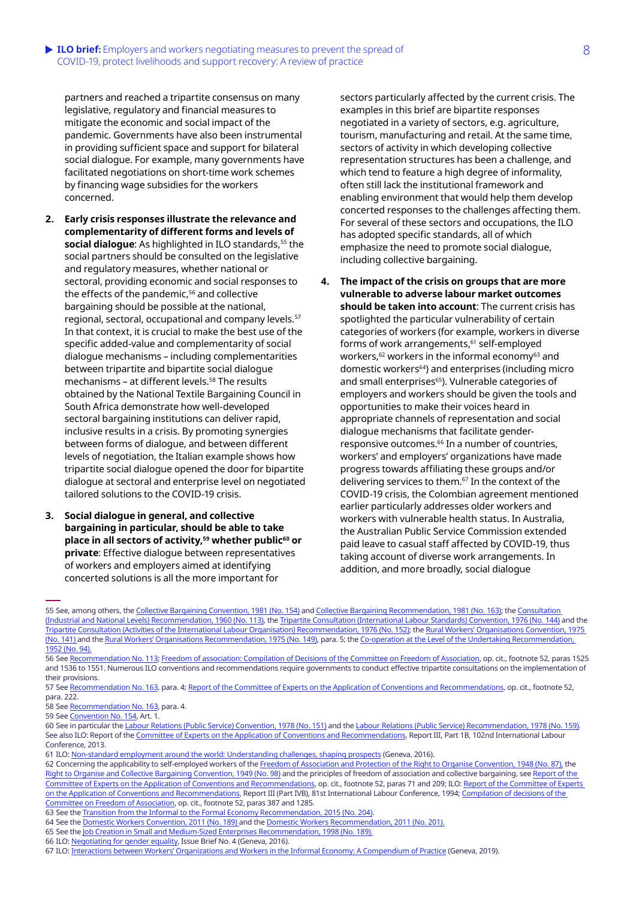#### **ILO brief:** Employers and workers negotiating measures to prevent the spread of 8 COVID-19, protect livelihoods and support recovery: A review of practice

partners and reached a tripartite consensus on many legislative, regulatory and financial measures to mitigate the economic and social impact of the pandemic. Governments have also been instrumental in providing sufficient space and support for bilateral social dialogue. For example, many governments have facilitated negotiations on short-time work schemes by financing wage subsidies for the workers concerned.

- **2. Early crisis responses illustrate the relevance and complementarity of different forms and levels of**  social dialogue: As highlighted in ILO standards,<sup>55</sup> the social partners should be consulted on the legislative and regulatory measures, whether national or sectoral, providing economic and social responses to the effects of the pandemic,<sup>56</sup> and collective bargaining should be possible at the national, regional, sectoral, occupational and company levels.57 In that context, it is crucial to make the best use of the specific added-value and complementarity of social dialogue mechanisms – including complementarities between tripartite and bipartite social dialogue mechanisms - at different levels.<sup>58</sup> The results obtained by the National Textile Bargaining Council in South Africa demonstrate how well-developed sectoral bargaining institutions can deliver rapid, inclusive results in a crisis. By promoting synergies between forms of dialogue, and between different levels of negotiation, the Italian example shows how tripartite social dialogue opened the door for bipartite dialogue at sectoral and enterprise level on negotiated tailored solutions to the COVID-19 crisis.
- **3. Social dialogue in general, and collective bargaining in particular, should be able to take**  place in all sectors of activity,<sup>59</sup> whether public<sup>60</sup> or **private**: Effective dialogue between representatives of workers and employers aimed at identifying concerted solutions is all the more important for

sectors particularly affected by the current crisis. The examples in this brief are bipartite responses negotiated in a variety of sectors, e.g. agriculture, tourism, manufacturing and retail. At the same time, sectors of activity in which developing collective representation structures has been a challenge, and which tend to feature a high degree of informality, often still lack the institutional framework and enabling environment that would help them develop concerted responses to the challenges affecting them. For several of these sectors and occupations, the ILO has adopted specific standards, all of which emphasize the need to promote social dialogue, including collective bargaining.

**4. The impact of the crisis on groups that are more vulnerable to adverse labour market outcomes should be taken into account**: The current crisis has spotlighted the particular vulnerability of certain categories of workers (for example, workers in diverse forms of work arrangements,<sup>61</sup> self-employed workers,<sup>62</sup> workers in the informal economy<sup>63</sup> and domestic workers<sup>64</sup>) and enterprises (including micro and small enterprises<sup>65</sup>). Vulnerable categories of employers and workers should be given the tools and opportunities to make their voices heard in appropriate channels of representation and social dialogue mechanisms that facilitate genderresponsive outcomes.<sup>66</sup> In a number of countries, workers' and employers' organizations have made progress towards affiliating these groups and/or delivering services to them.<sup>67</sup> In the context of the COVID-19 crisis, the Colombian agreement mentioned earlier particularly addresses older workers and workers with vulnerable health status. In Australia, the Australian Public Service Commission extended paid leave to casual staff affected by COVID-19, thus taking account of diverse work arrangements. In addition, and more broadly, social dialogue

55 See, among others, the [Collective Bargaining Convention, 1981 \(No. 154\)](https://www.ilo.org/dyn/normlex/en/f?p=NORMLEXPUB:12100:0::NO::P12100_ILO_CODE:C154) and [Collective Bargaining Recommendation, 1981 \(No. 163\)](https://www.ilo.org/dyn/normlex/en/f?p=NORMLEXPUB:12100:0::NO::P12100_ILO_CODE:R163); the [Consultation](https://www.ilo.org/dyn/normlex/en/f?p=NORMLEXPUB:12100:0::NO::P12100_ILO_CODE:R113)  [\(Industrial and National Levels\) Recommendation, 1960 \(No. 113\)](https://www.ilo.org/dyn/normlex/en/f?p=NORMLEXPUB:12100:0::NO::P12100_ILO_CODE:R113), the [Tripartite Consultation \(International Labour Standards\) Convention, 1976 \(No. 144\)](https://www.ilo.org/dyn/normlex/en/f?p=NORMLEXPUB:12100:0::NO::P12100_ILO_CODE:C144) and the [Tripartite Consultation \(Activities of the International Labour Organisation\) Recommendation, 1976 \(No. 152\)](https://www.ilo.org/dyn/normlex/en/f?p=1000:12100:::NO:12100:P12100_INSTRUMENT_ID:312490); the [Rural Workers' Organisations Convention, 1975](https://www.ilo.org/dyn/normlex/en/f?p=NORMLEXPUB:12100:0::NO::P12100_ILO_CODE:C141)  [\(No. 141\)](https://www.ilo.org/dyn/normlex/en/f?p=NORMLEXPUB:12100:0::NO::P12100_ILO_CODE:C141) and the [Rural Workers' Organisations Recommendation, 1975 \(No. 149\),](https://www.ilo.org/dyn/normlex/en/f?p=NORMLEXPUB:12100:0::NO::P12100_ILO_CODE:R149) para. 5; the [Co-operation at the Level of the Undertaking Recommendation,](https://www.ilo.org/dyn/normlex/en/f?p=NORMLEXPUB:12100:0::NO::P12100_ILO_CODE:R094)  [1952 \(No. 94\).](https://www.ilo.org/dyn/normlex/en/f?p=NORMLEXPUB:12100:0::NO::P12100_ILO_CODE:R094)

56 See [Recommendation No. 113;](https://www.ilo.org/dyn/normlex/en/f?p=NORMLEXPUB:12100:0::NO::P12100_ILO_CODE:R113) [Freedom of association: Compilation of Decisions of the Committee on Freedom of Association,](https://www.ilo.org/wcmsp5/groups/public/---ed_norm/---normes/documents/publication/wcms_632659.pdf) op. cit., footnote 52, paras 1525 and 1536 to 1551. Numerous ILO conventions and recommendations require governments to conduct effective tripartite consultations on the implementation of their provisions.

58 See [Recommendation No. 163,](https://www.ilo.org/dyn/normlex/en/f?p=NORMLEXPUB:12100:0::NO:12100:P12100_INSTRUMENT_ID:312501:NO) para. 4.

63 See the [Transition from the Informal to the Formal Economy Recommendation, 2015 \(No. 204\)](https://www.ilo.org/dyn/normlex/en/f?p=NORMLEXPUB:12100:0::NO::P12100_ILO_CODE:R204).

<sup>57</sup> See [Recommendation No. 163,](https://www.ilo.org/dyn/normlex/en/f?p=NORMLEXPUB:12100:0::NO:12100:P12100_INSTRUMENT_ID:312501:NO) para. 4; [Report of the Committee of Experts on the Application of Conventions and Recommendations,](https://www.ilo.org/wcmsp5/groups/public/---ed_norm/---relconf/documents/meetingdocument/wcms_174846.pdf) op. cit., footnote 52, para. 222.

<sup>59</sup> See [Convention No. 154](https://www.ilo.org/dyn/normlex/en/f?p=NORMLEXPUB:12100:0::NO::P12100_ILO_CODE:C154), Art. 1.

<sup>60</sup> See in particular the [Labour Relations \(Public Service\) Convention, 1978 \(No. 151\)](https://www.ilo.org/dyn/normlex/en/f?p=NORMLEXPUB:12100:0::NO::P12100_ILO_CODE:C151) and the [Labour Relations \(Public Service\) Recommendation, 1978 \(No. 159\)](https://www.ilo.org/dyn/normlex/en/f?p=NORMLEXPUB:12100:0::NO::P12100_ILO_CODE:R159). See also ILO: Report of the [Committee of Experts on the Application of Conventions and Recommendations](https://www.ilo.org/wcmsp5/groups/public/---ed_norm/---relconf/documents/meetingdocument/wcms_205518.pdf), Report III, Part 1B, 102nd International Labour Conference, 2013.

<sup>61</sup> ILO: [Non-standard employment around the world: Understanding challenges, shaping prospects](https://www.ilo.org/global/publications/books/WCMS_534326/lang--en/index.htm) (Geneva, 2016).

<sup>62</sup> Concerning the applicability to self-employed workers of the [Freedom of Association and Protection of the Right to Organise Convention, 1948 \(No. 87\),](https://www.ilo.org/dyn/normlex/en/f?p=NORMLEXPUB:12100:0::NO::P12100_INSTRUMENT_ID:312232) the [Right to Organise and Collective Bargaining Convention, 1949 \(No. 98\)](https://www.ilo.org/dyn/normlex/en/f?p=NORMLEXPUB:12100:0::NO::P12100_ILO_CODE:C098) and the principles of freedom of association and collective bargaining, see [Report of the](https://www.ilo.org/wcmsp5/groups/public/---ed_norm/---relconf/documents/meetingdocument/wcms_174846.pdf)  [Committee of Experts on the Application of Conventions and Recommendations](https://www.ilo.org/wcmsp5/groups/public/---ed_norm/---relconf/documents/meetingdocument/wcms_174846.pdf), op. cit., footnote 52, paras 71 and 209; ILO: [Report of the Committee of Experts](https://www.ilo.org/public/libdoc/ilo/P/09661/09661(1994-81-4B).pdf)  [on the Application of Conventions and Recommendations](https://www.ilo.org/public/libdoc/ilo/P/09661/09661(1994-81-4B).pdf), Report III (Part IVB), 81st International Labour Conference, 1994; [Compilation of decisions of the](https://www.ilo.org/wcmsp5/groups/public/---ed_norm/---normes/documents/publication/wcms_632659.pdf)  [Committee on Freedom of Association](https://www.ilo.org/wcmsp5/groups/public/---ed_norm/---normes/documents/publication/wcms_632659.pdf), op. cit., footnote 52, paras 387 and 1285.

<sup>64</sup> See the [Domestic Workers Convention, 2011 \(No. 189\)](https://www.ilo.org/dyn/normlex/en/f?p=NORMLEXPUB:12100:0::NO:12100:P12100_INSTRUMENT_ID:2551460:NO) and the [Domestic Workers Recommendation, 2011 \(No. 201\).](https://www.ilo.org/dyn/normlex/en/f?p=NORMLEXPUB:12100:0::NO::P12100_INSTRUMENT_ID:2551502)

<sup>65</sup> See the [Job Creation in Small and Medium-Sized Enterprises Recommendation, 1998 \(No. 189\).](https://www.ilo.org/dyn/normlex/en/f?p=NORMLEXPUB:12100:0::NO::P12100_ILO_CODE:R189)

<sup>66</sup> ILO: [Negotiating for gender equality](https://www.ilo.org/global/topics/collective-bargaining-labour-relations/publications/WCMS_528947/lang--en/index.htm), Issue Brief No. 4 (Geneva, 2016).

<sup>67</sup> ILO: [Interactions between Workers' Organizations and Workers in the Informal Economy: A Compendium of Practice](https://www.ilo.org/wcmsp5/groups/public/---ed_protect/---protrav/---travail/documents/publication/wcms_735630.pdf) (Geneva, 2019).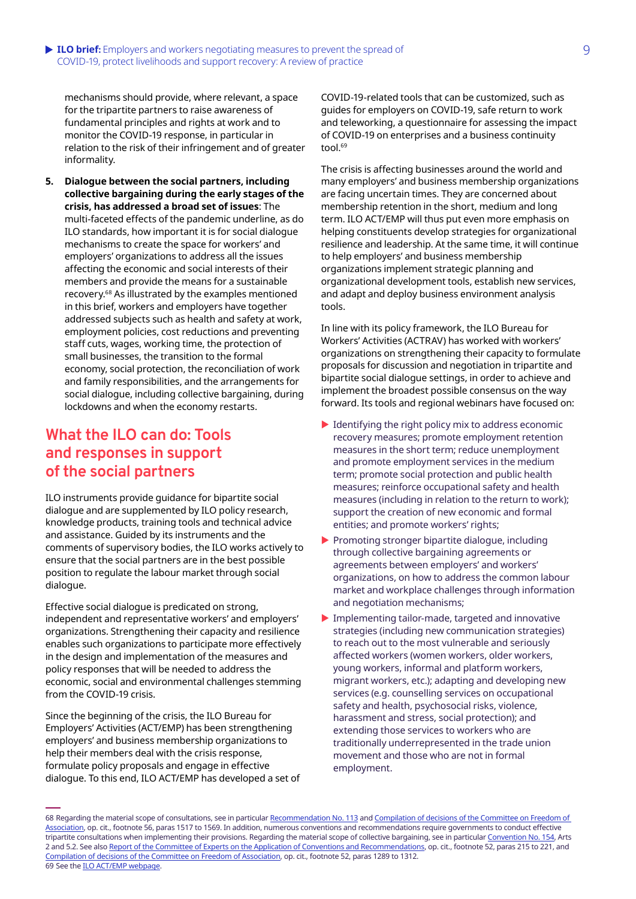#### **ILO brief:** Employers and workers negotiating measures to prevent the spread of 9 COVID-19, protect livelihoods and support recovery: A review of practice

mechanisms should provide, where relevant, a space for the tripartite partners to raise awareness of fundamental principles and rights at work and to monitor the COVID-19 response, in particular in relation to the risk of their infringement and of greater informality.

**5. Dialogue between the social partners, including collective bargaining during the early stages of the crisis, has addressed a broad set of issues**: The multi-faceted effects of the pandemic underline, as do ILO standards, how important it is for social dialogue mechanisms to create the space for workers' and employers' organizations to address all the issues affecting the economic and social interests of their members and provide the means for a sustainable recovery.<sup>68</sup> As illustrated by the examples mentioned in this brief, workers and employers have together addressed subjects such as health and safety at work, employment policies, cost reductions and preventing staff cuts, wages, working time, the protection of small businesses, the transition to the formal economy, social protection, the reconciliation of work and family responsibilities, and the arrangements for social dialogue, including collective bargaining, during lockdowns and when the economy restarts.

### **What the ILO can do: Tools and responses in support of the social partners**

ILO instruments provide guidance for bipartite social dialogue and are supplemented by ILO policy research, knowledge products, training tools and technical advice and assistance. Guided by its instruments and the comments of supervisory bodies, the ILO works actively to ensure that the social partners are in the best possible position to regulate the labour market through social dialogue.

Effective social dialogue is predicated on strong, independent and representative workers' and employers' organizations. Strengthening their capacity and resilience enables such organizations to participate more effectively in the design and implementation of the measures and policy responses that will be needed to address the economic, social and environmental challenges stemming from the COVID-19 crisis.

Since the beginning of the crisis, the ILO Bureau for Employers' Activities (ACT/EMP) has been strengthening employers' and business membership organizations to help their members deal with the crisis response, formulate policy proposals and engage in effective dialogue. To this end, ILO ACT/EMP has developed a set of COVID-19-related tools that can be customized, such as guides for employers on COVID-19, safe return to work and teleworking, a questionnaire for assessing the impact of COVID-19 on enterprises and a business continuity tool.<sup>69</sup>

The crisis is affecting businesses around the world and many employers' and business membership organizations are facing uncertain times. They are concerned about membership retention in the short, medium and long term. ILO ACT/EMP will thus put even more emphasis on helping constituents develop strategies for organizational resilience and leadership. At the same time, it will continue to help employers' and business membership organizations implement strategic planning and organizational development tools, establish new services, and adapt and deploy business environment analysis tools.

In line with its policy framework, the ILO Bureau for Workers' Activities (ACTRAV) has worked with workers' organizations on strengthening their capacity to formulate proposals for discussion and negotiation in tripartite and bipartite social dialogue settings, in order to achieve and implement the broadest possible consensus on the way forward. Its tools and regional webinars have focused on:

- $\blacktriangleright$  Identifying the right policy mix to address economic recovery measures; promote employment retention measures in the short term; reduce unemployment and promote employment services in the medium term; promote social protection and public health measures; reinforce occupational safety and health measures (including in relation to the return to work); support the creation of new economic and formal entities; and promote workers' rights;
- $\blacktriangleright$  Promoting stronger bipartite dialogue, including through collective bargaining agreements or agreements between employers' and workers' organizations, on how to address the common labour market and workplace challenges through information and negotiation mechanisms;
- $\blacktriangleright$  Implementing tailor-made, targeted and innovative strategies (including new communication strategies) to reach out to the most vulnerable and seriously affected workers (women workers, older workers, young workers, informal and platform workers, migrant workers, etc.); adapting and developing new services (e.g. counselling services on occupational safety and health, psychosocial risks, violence, harassment and stress, social protection); and extending those services to workers who are traditionally underrepresented in the trade union movement and those who are not in formal employment.

<sup>68</sup> Regarding the material scope of consultations, see in particular [Recommendation No. 113](https://www.ilo.org/dyn/normlex/en/f?p=NORMLEXPUB:12100:0::NO::P12100_ILO_CODE:R113) and Compilation of decisions of the Committee on Freedom of [Association](https://www.ilo.org/wcmsp5/groups/public/---ed_norm/---normes/documents/publication/wcms_632659.pdf), op. cit., footnote 56, paras 1517 to 1569. In addition, numerous conventions and recommendations require governments to conduct effective tripartite consultations when implementing their provisions. Regarding the material scope of collective bargaining, see in particular [Convention No. 154](https://www.ilo.org/dyn/normlex/en/f?p=NORMLEXPUB:12100:0::NO::P12100_ILO_CODE:C154), Arts 2 and 5.2. See also [Report of the Committee of Experts on the Application of Conventions and Recommendations](https://www.ilo.org/wcmsp5/groups/public/---ed_norm/---relconf/documents/meetingdocument/wcms_174846.pdf), op. cit., footnote 52, paras 215 to 221, and [Compilation of decisions of the Committee on Freedom of Association](https://www.ilo.org/wcmsp5/groups/public/---ed_norm/---normes/documents/publication/wcms_632659.pdf), op. cit., footnote 52, paras 1289 to 1312. 69 See the [ILO ACT/EMP webpage.](https://www.ilo.org/actemp/whats-new/lang--en/index.htm)